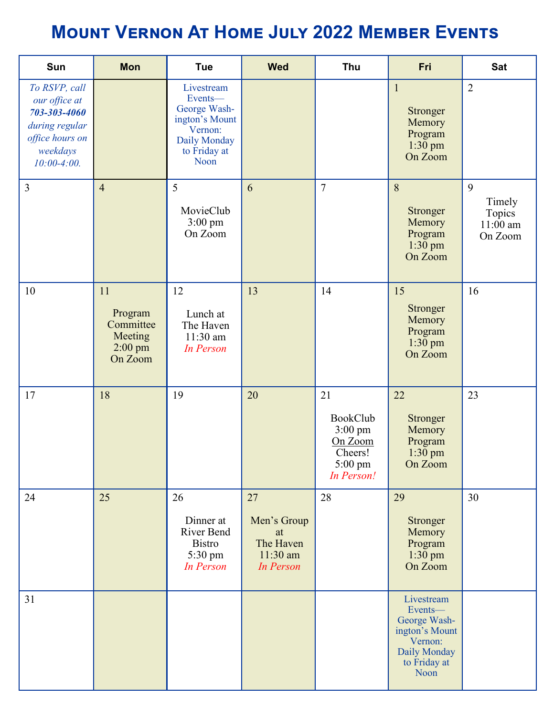## **Mount Vernon At Home July 2022 Member Events**

| Sun                                                                                                              | <b>Mon</b>                                                    | <b>Tue</b>                                                                                                 | <b>Wed</b>                                                             | Thu                                                                        | Fri                                                                                                        | <b>Sat</b>                                     |
|------------------------------------------------------------------------------------------------------------------|---------------------------------------------------------------|------------------------------------------------------------------------------------------------------------|------------------------------------------------------------------------|----------------------------------------------------------------------------|------------------------------------------------------------------------------------------------------------|------------------------------------------------|
| To RSVP, call<br>our office at<br>703-303-4060<br>during regular<br>office hours on<br>weekdays<br>$10:00-4:00.$ |                                                               | Livestream<br>Events-<br>George Wash-<br>ington's Mount<br>Vernon:<br>Daily Monday<br>to Friday at<br>Noon |                                                                        |                                                                            | $\mathbf{1}$<br>Stronger<br>Memory<br>Program<br>$1:30$ pm<br>On Zoom                                      | $\overline{2}$                                 |
| 3                                                                                                                | $\overline{4}$                                                | 5<br>MovieClub<br>$3:00 \text{ pm}$<br>On Zoom                                                             | 6                                                                      | $\overline{7}$                                                             | 8<br><b>Stronger</b><br>Memory<br>Program<br>$1:30$ pm<br>On Zoom                                          | 9<br>Timely<br>Topics<br>$11:00$ am<br>On Zoom |
| 10                                                                                                               | 11<br>Program<br>Committee<br>Meeting<br>$2:00$ pm<br>On Zoom | 12<br>Lunch at<br>The Haven<br>11:30 am<br><b>In Person</b>                                                | 13                                                                     | 14                                                                         | 15<br><b>Stronger</b><br>Memory<br>Program<br>$1:30$ pm<br>On Zoom                                         | 16                                             |
| 17                                                                                                               | 18                                                            | 19                                                                                                         | 20                                                                     | 21<br>BookClub<br>$3:00$ pm<br>On Zoom<br>Cheers!<br>5:00 pm<br>In Person! | 22<br>Stronger<br>Memory<br>Program<br>1:30 pm<br>On Zoom                                                  | 23                                             |
| 24                                                                                                               | 25                                                            | 26<br>Dinner at<br>River Bend<br><b>Bistro</b><br>5:30 pm<br><b>In Person</b>                              | 27<br>Men's Group<br>at<br>The Haven<br>$11:30$ am<br><b>In Person</b> | 28                                                                         | 29<br>Stronger<br>Memory<br>Program<br>$1:30$ pm<br>On Zoom                                                | 30                                             |
| 31                                                                                                               |                                                               |                                                                                                            |                                                                        |                                                                            | Livestream<br>Events-<br>George Wash-<br>ington's Mount<br>Vernon:<br>Daily Monday<br>to Friday at<br>Noon |                                                |